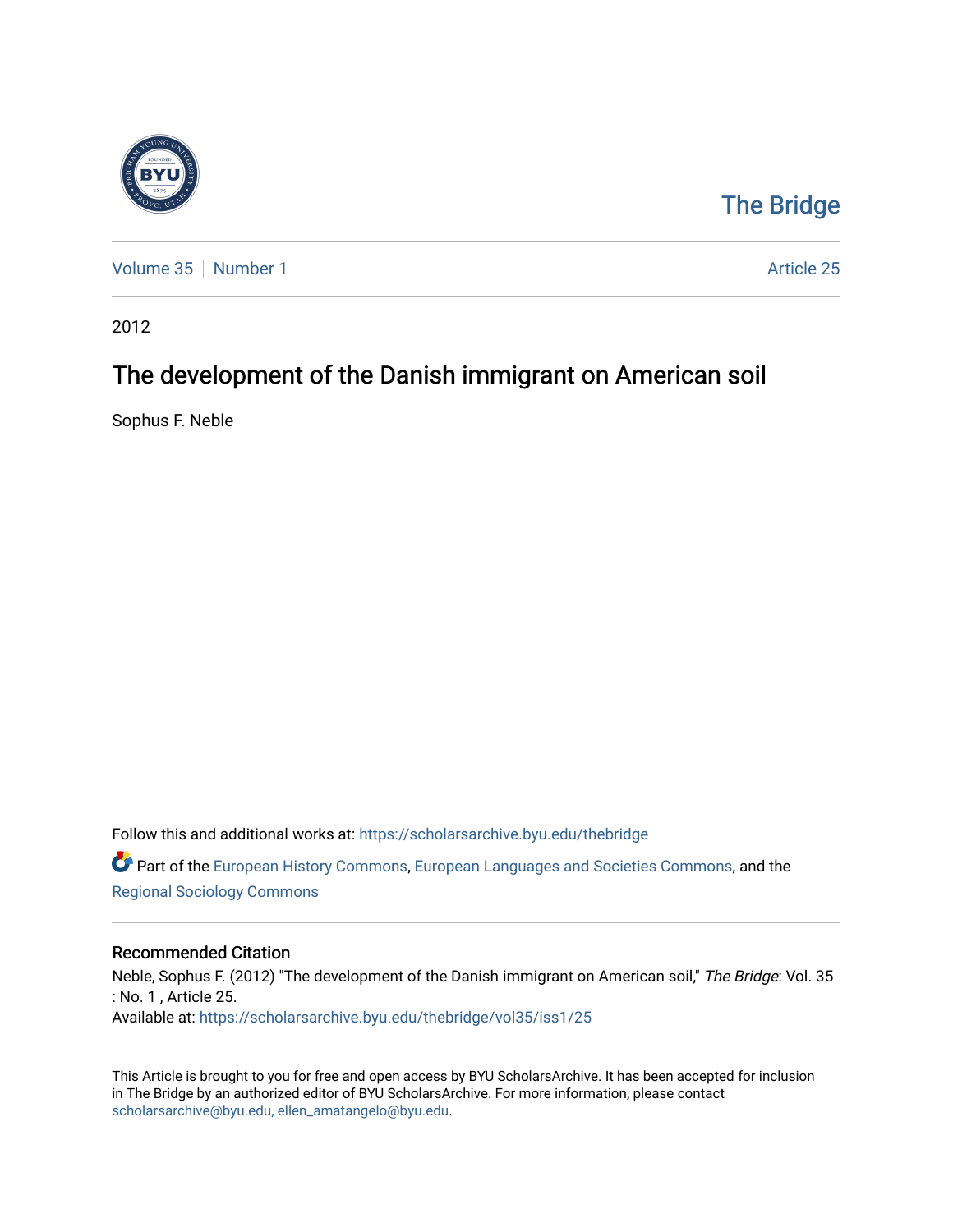

## [The Bridge](https://scholarsarchive.byu.edu/thebridge)

[Volume 35](https://scholarsarchive.byu.edu/thebridge/vol35) [Number 1](https://scholarsarchive.byu.edu/thebridge/vol35/iss1) Article 25

2012

## The development of the Danish immigrant on American soil

Sophus F. Neble

Follow this and additional works at: [https://scholarsarchive.byu.edu/thebridge](https://scholarsarchive.byu.edu/thebridge?utm_source=scholarsarchive.byu.edu%2Fthebridge%2Fvol35%2Fiss1%2F25&utm_medium=PDF&utm_campaign=PDFCoverPages)  **C** Part of the [European History Commons](http://network.bepress.com/hgg/discipline/492?utm_source=scholarsarchive.byu.edu%2Fthebridge%2Fvol35%2Fiss1%2F25&utm_medium=PDF&utm_campaign=PDFCoverPages), [European Languages and Societies Commons,](http://network.bepress.com/hgg/discipline/482?utm_source=scholarsarchive.byu.edu%2Fthebridge%2Fvol35%2Fiss1%2F25&utm_medium=PDF&utm_campaign=PDFCoverPages) and the [Regional Sociology Commons](http://network.bepress.com/hgg/discipline/427?utm_source=scholarsarchive.byu.edu%2Fthebridge%2Fvol35%2Fiss1%2F25&utm_medium=PDF&utm_campaign=PDFCoverPages) 

## Recommended Citation

Neble, Sophus F. (2012) "The development of the Danish immigrant on American soil," The Bridge: Vol. 35 : No. 1 , Article 25. Available at: [https://scholarsarchive.byu.edu/thebridge/vol35/iss1/25](https://scholarsarchive.byu.edu/thebridge/vol35/iss1/25?utm_source=scholarsarchive.byu.edu%2Fthebridge%2Fvol35%2Fiss1%2F25&utm_medium=PDF&utm_campaign=PDFCoverPages)

This Article is brought to you for free and open access by BYU ScholarsArchive. It has been accepted for inclusion in The Bridge by an authorized editor of BYU ScholarsArchive. For more information, please contact [scholarsarchive@byu.edu, ellen\\_amatangelo@byu.edu](mailto:scholarsarchive@byu.edu,%20ellen_amatangelo@byu.edu).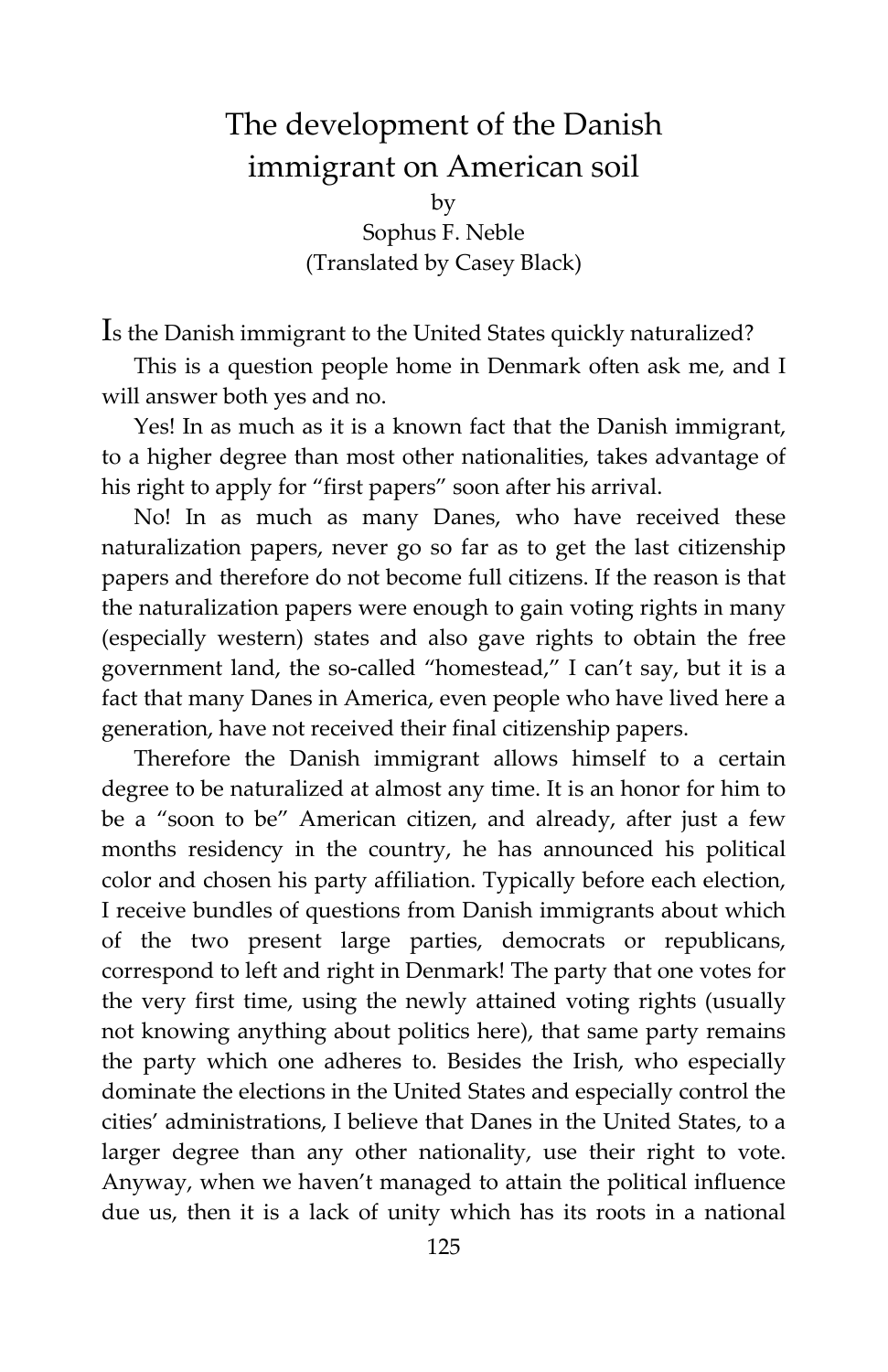## The development of the Danish immigrant on American soil

by

Sophus F. Neble (Translated by Casey Black)

Is the Danish immigrant to the United States quickly naturalized?

This is a question people home in Denmark often ask me, and I will answer both yes and no.

Yes! In as much as it is a known fact that the Danish immigrant, to a higher degree than most other nationalities, takes advantage of his right to apply for "first papers" soon after his arrival.

No! In as much as many Danes, who have received these naturalization papers, never go so far as to get the last citizenship papers and therefore do not become full citizens. If the reason is that the naturalization papers were enough to gain voting rights in many (especially western) states and also gave rights to obtain the free government land, the so-called "homestead," I can't say, but it is a fact that many Danes in America, even people who have lived here a generation, have not received their final citizenship papers.

Therefore the Danish immigrant allows himself to a certain degree to be naturalized at almost any time. It is an honor for him to be a "soon to be" American citizen, and already, after just a few months residency in the country, he has announced his political color and chosen his party affiliation. Typically before each election, I receive bundles of questions from Danish immigrants about which of the two present large parties, democrats or republicans, correspond to left and right in Denmark! The party that one votes for the very first time, using the newly attained voting rights (usually not knowing anything about politics here), that same party remains the party which one adheres to. Besides the Irish, who especially dominate the elections in the United States and especially control the cities' administrations, I believe that Danes in the United States, to a larger degree than any other nationality, use their right to vote. Anyway, when we haven't managed to attain the political influence due us, then it is a lack of unity which has its roots in a national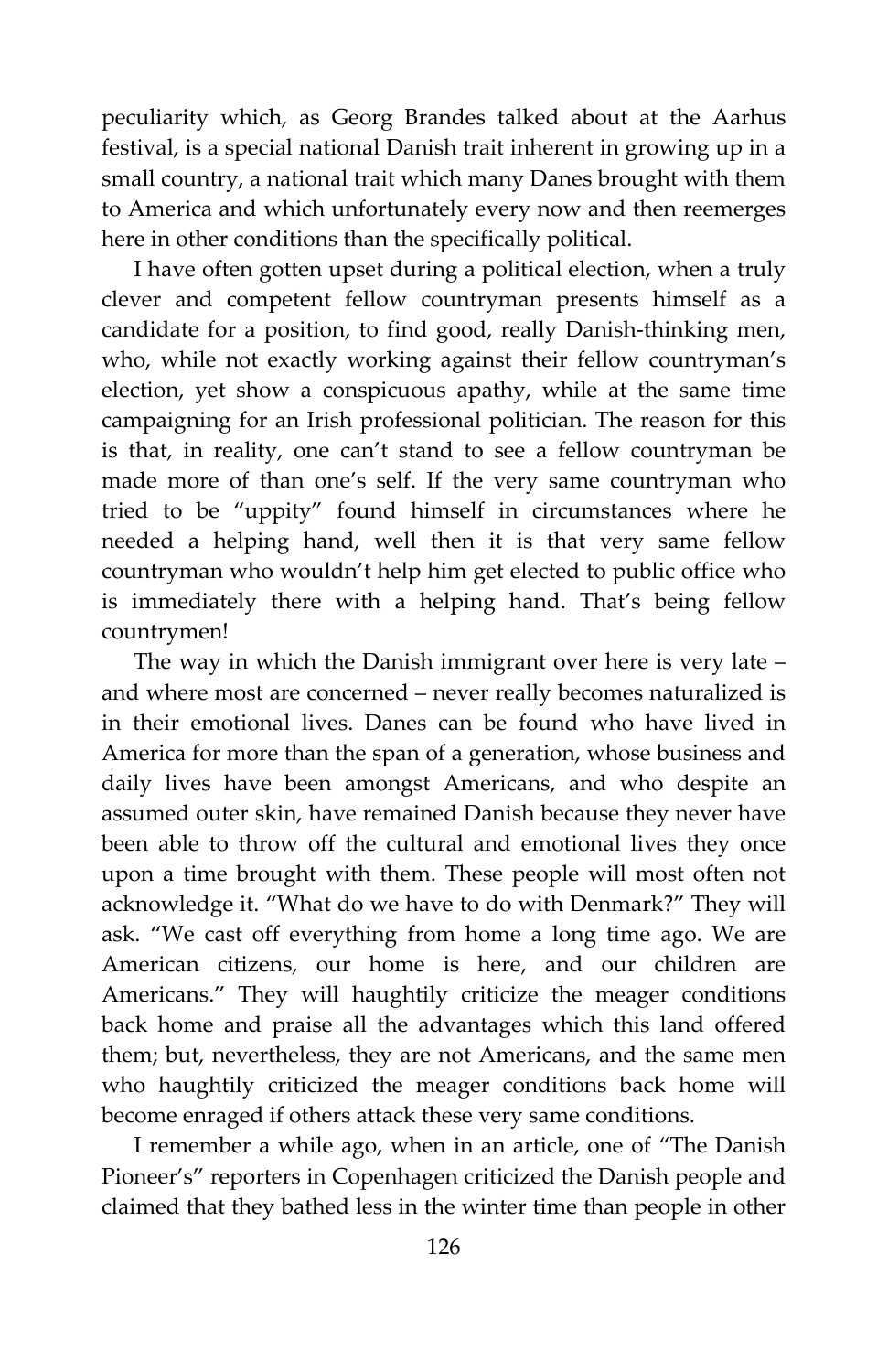peculiarity which, as Georg Brandes talked about at the Aarhus festival, is a special national Danish trait inherent in growing up in a small country, a national trait which many Danes brought with them to America and which unfortunately every now and then reemerges here in other conditions than the specifically political.

I have often gotten upset during a political election, when a truly clever and competent fellow countryman presents himself as a candidate for a position, to find good, really Danish-thinking men, who, while not exactly working against their fellow countryman's election, yet show a conspicuous apathy, while at the same time campaigning for an Irish professional politician. The reason for this is that, in reality, one can't stand to see a fellow countryman be made more of than one's self. If the very same countryman who tried to be "uppity" found himself in circumstances where he needed a helping hand, well then it is that very same fellow countryman who wouldn't help him get elected to public office who is immediately there with a helping hand. That's being fellow countrymen!

The way in which the Danish immigrant over here is very late – and where most are concerned – never really becomes naturalized is in their emotional lives. Danes can be found who have lived in America for more than the span of a generation, whose business and daily lives have been amongst Americans, and who despite an assumed outer skin, have remained Danish because they never have been able to throw off the cultural and emotional lives they once upon a time brought with them. These people will most often not acknowledge it. "What do we have to do with Denmark?" They will ask. "We cast off everything from home a long time ago. We are American citizens, our home is here, and our children are Americans." They will haughtily criticize the meager conditions back home and praise all the advantages which this land offered them; but, nevertheless, they are not Americans, and the same men who haughtily criticized the meager conditions back home will become enraged if others attack these very same conditions.

I remember a while ago, when in an article, one of "The Danish Pioneer's" reporters in Copenhagen criticized the Danish people and claimed that they bathed less in the winter time than people in other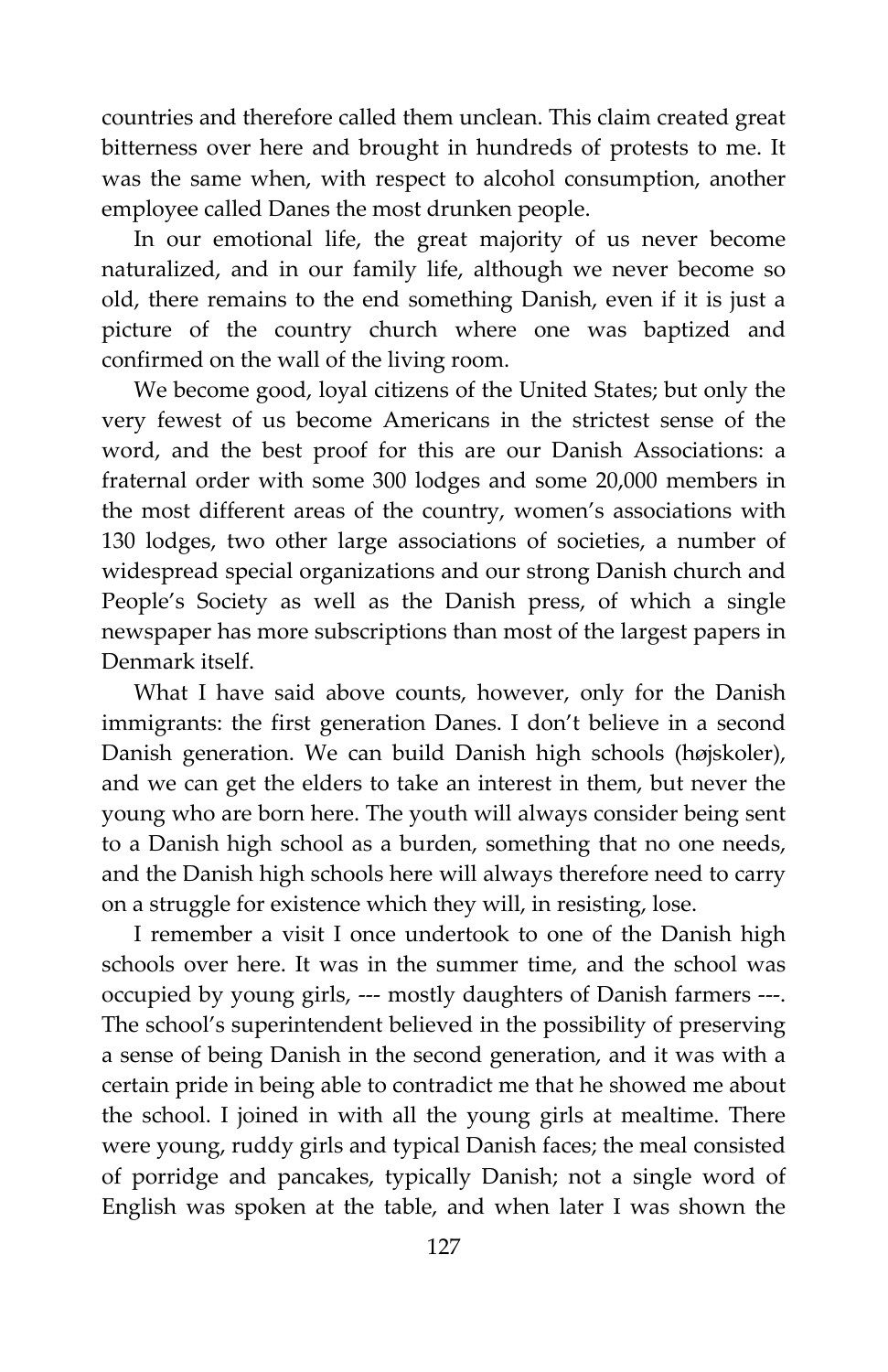countries and therefore called them unclean. This claim created great bitterness over here and brought in hundreds of protests to me. It was the same when, with respect to alcohol consumption, another employee called Danes the most drunken people.

In our emotional life, the great majority of us never become naturalized, and in our family life, although we never become so old, there remains to the end something Danish, even if it is just a picture of the country church where one was baptized and confirmed on the wall of the living room.

We become good, loyal citizens of the United States; but only the very fewest of us become Americans in the strictest sense of the word, and the best proof for this are our Danish Associations: a fraternal order with some 300 lodges and some 20,000 members in the most different areas of the country, women's associations with 130 lodges, two other large associations of societies, a number of widespread special organizations and our strong Danish church and People's Society as well as the Danish press, of which a single newspaper has more subscriptions than most of the largest papers in Denmark itself.

What I have said above counts, however, only for the Danish immigrants: the first generation Danes. I don't believe in a second Danish generation. We can build Danish high schools (højskoler), and we can get the elders to take an interest in them, but never the young who are born here. The youth will always consider being sent to a Danish high school as a burden, something that no one needs, and the Danish high schools here will always therefore need to carry on a struggle for existence which they will, in resisting, lose.

I remember a visit I once undertook to one of the Danish high schools over here. It was in the summer time, and the school was occupied by young girls, --- mostly daughters of Danish farmers ---. The school's superintendent believed in the possibility of preserving a sense of being Danish in the second generation, and it was with a certain pride in being able to contradict me that he showed me about the school. I joined in with all the young girls at mealtime. There were young, ruddy girls and typical Danish faces; the meal consisted of porridge and pancakes, typically Danish; not a single word of English was spoken at the table, and when later I was shown the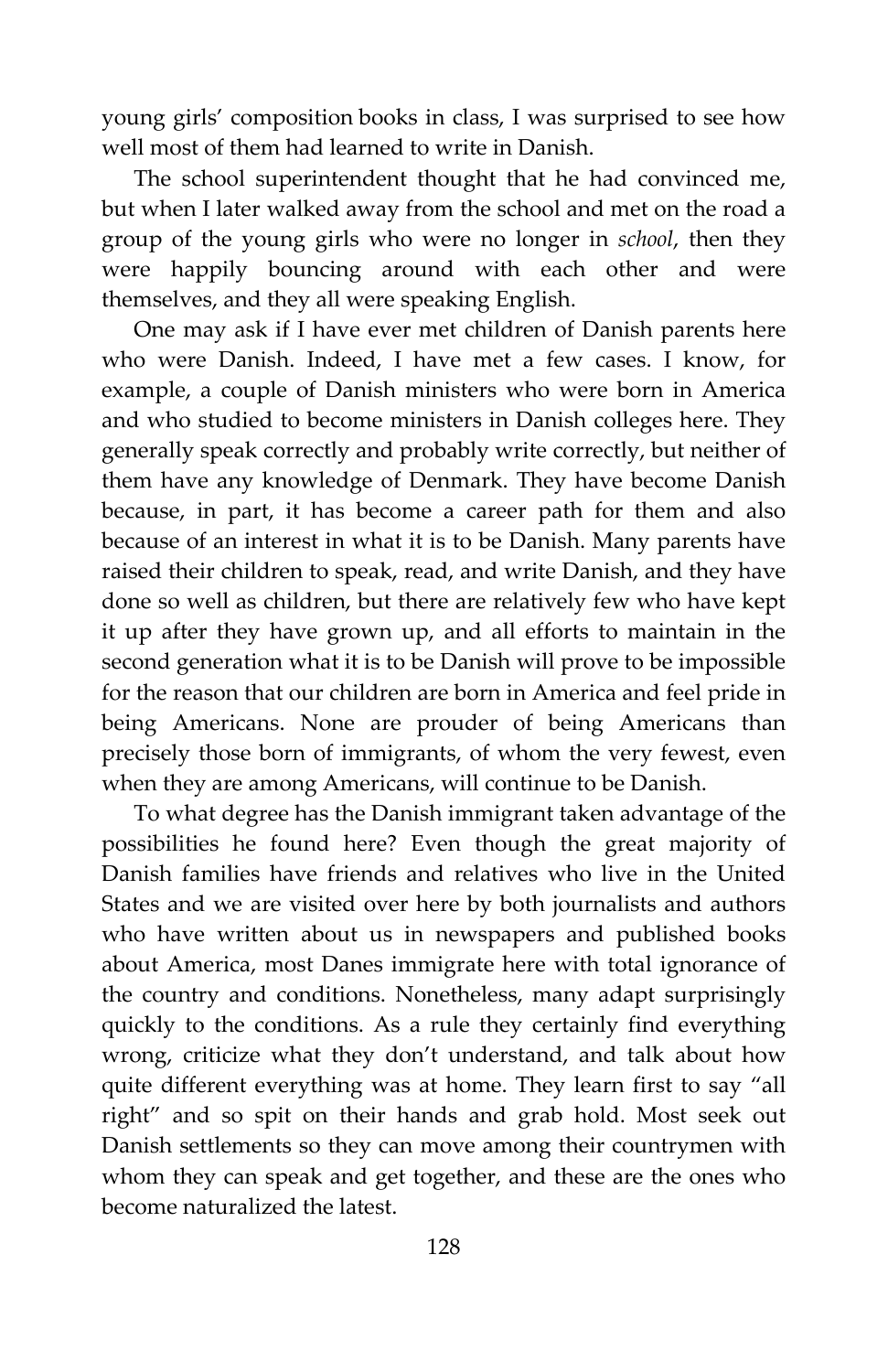young girls' composition books in class, I was surprised to see how well most of them had learned to write in Danish.

The school superintendent thought that he had convinced me, but when I later walked away from the school and met on the road a group of the young girls who were no longer in *school*, then they were happily bouncing around with each other and were themselves, and they all were speaking English.

One may ask if I have ever met children of Danish parents here who were Danish. Indeed, I have met a few cases. I know, for example, a couple of Danish ministers who were born in America and who studied to become ministers in Danish colleges here. They generally speak correctly and probably write correctly, but neither of them have any knowledge of Denmark. They have become Danish because, in part, it has become a career path for them and also because of an interest in what it is to be Danish. Many parents have raised their children to speak, read, and write Danish, and they have done so well as children, but there are relatively few who have kept it up after they have grown up, and all efforts to maintain in the second generation what it is to be Danish will prove to be impossible for the reason that our children are born in America and feel pride in being Americans. None are prouder of being Americans than precisely those born of immigrants, of whom the very fewest, even when they are among Americans, will continue to be Danish.

To what degree has the Danish immigrant taken advantage of the possibilities he found here? Even though the great majority of Danish families have friends and relatives who live in the United States and we are visited over here by both journalists and authors who have written about us in newspapers and published books about America, most Danes immigrate here with total ignorance of the country and conditions. Nonetheless, many adapt surprisingly quickly to the conditions. As a rule they certainly find everything wrong, criticize what they don't understand, and talk about how quite different everything was at home. They learn first to say "all right" and so spit on their hands and grab hold. Most seek out Danish settlements so they can move among their countrymen with whom they can speak and get together, and these are the ones who become naturalized the latest.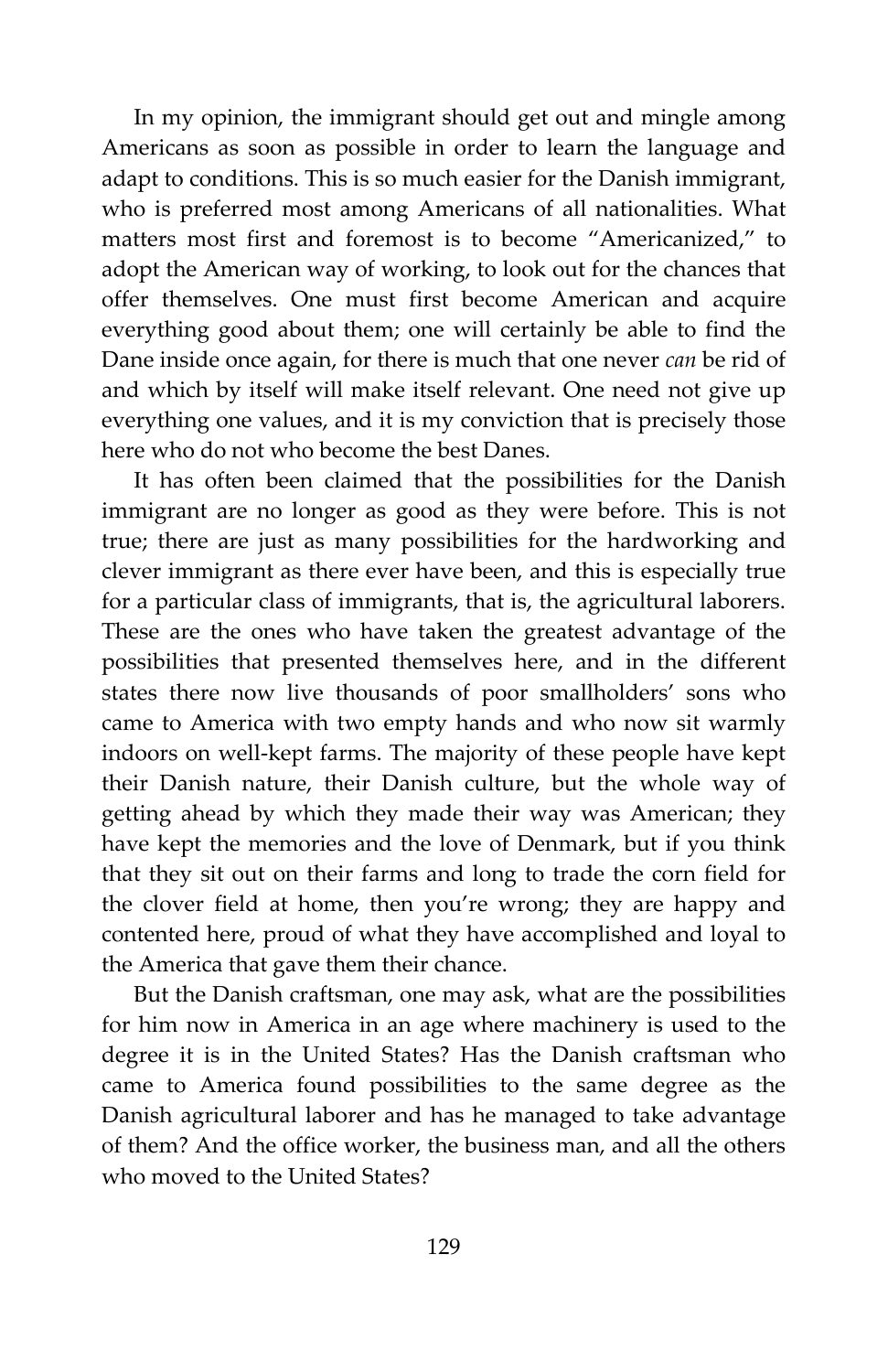In my opinion, the immigrant should get out and mingle among Americans as soon as possible in order to learn the language and adapt to conditions. This is so much easier for the Danish immigrant, who is preferred most among Americans of all nationalities. What matters most first and foremost is to become "Americanized," to adopt the American way of working, to look out for the chances that offer themselves. One must first become American and acquire everything good about them; one will certainly be able to find the Dane inside once again, for there is much that one never *can* be rid of and which by itself will make itself relevant. One need not give up everything one values, and it is my conviction that is precisely those here who do not who become the best Danes.

It has often been claimed that the possibilities for the Danish immigrant are no longer as good as they were before. This is not true; there are just as many possibilities for the hardworking and clever immigrant as there ever have been, and this is especially true for a particular class of immigrants, that is, the agricultural laborers. These are the ones who have taken the greatest advantage of the possibilities that presented themselves here, and in the different states there now live thousands of poor smallholders' sons who came to America with two empty hands and who now sit warmly indoors on well-kept farms. The majority of these people have kept their Danish nature, their Danish culture, but the whole way of getting ahead by which they made their way was American; they have kept the memories and the love of Denmark, but if you think that they sit out on their farms and long to trade the corn field for the clover field at home, then you're wrong; they are happy and contented here, proud of what they have accomplished and loyal to the America that gave them their chance.

But the Danish craftsman, one may ask, what are the possibilities for him now in America in an age where machinery is used to the degree it is in the United States? Has the Danish craftsman who came to America found possibilities to the same degree as the Danish agricultural laborer and has he managed to take advantage of them? And the office worker, the business man, and all the others who moved to the United States?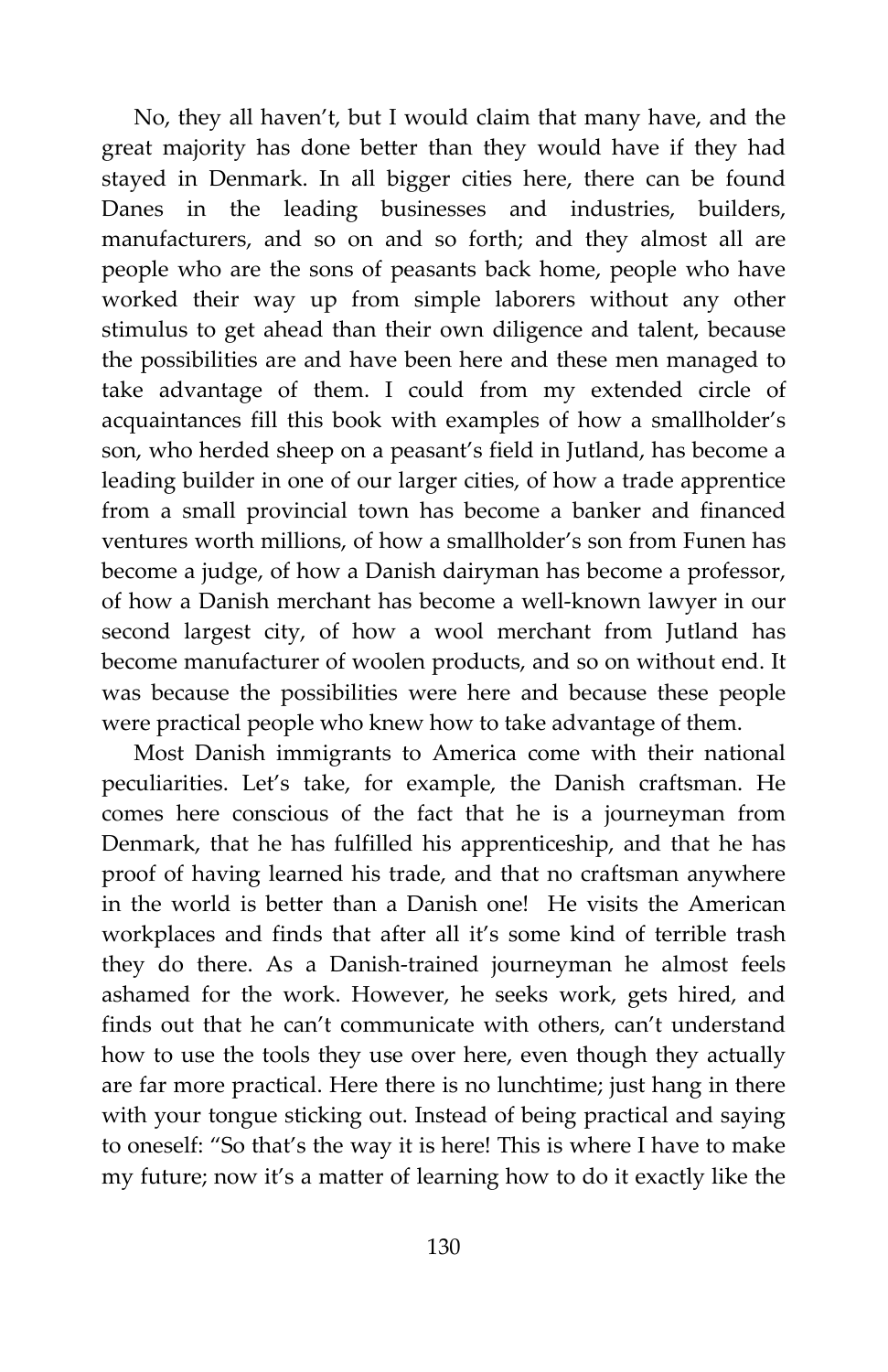No, they all haven't, but I would claim that many have, and the great majority has done better than they would have if they had stayed in Denmark. In all bigger cities here, there can be found Danes in the leading businesses and industries, builders, manufacturers, and so on and so forth; and they almost all are people who are the sons of peasants back home, people who have worked their way up from simple laborers without any other stimulus to get ahead than their own diligence and talent, because the possibilities are and have been here and these men managed to take advantage of them. I could from my extended circle of acquaintances fill this book with examples of how a smallholder's son, who herded sheep on a peasant's field in Jutland, has become a leading builder in one of our larger cities, of how a trade apprentice from a small provincial town has become a banker and financed ventures worth millions, of how a smallholder's son from Funen has become a judge, of how a Danish dairyman has become a professor, of how a Danish merchant has become a well-known lawyer in our second largest city, of how a wool merchant from Jutland has become manufacturer of woolen products, and so on without end. It was because the possibilities were here and because these people were practical people who knew how to take advantage of them.

Most Danish immigrants to America come with their national peculiarities. Let's take, for example, the Danish craftsman. He comes here conscious of the fact that he is a journeyman from Denmark, that he has fulfilled his apprenticeship, and that he has proof of having learned his trade, and that no craftsman anywhere in the world is better than a Danish one! He visits the American workplaces and finds that after all it's some kind of terrible trash they do there. As a Danish-trained journeyman he almost feels ashamed for the work. However, he seeks work, gets hired, and finds out that he can't communicate with others, can't understand how to use the tools they use over here, even though they actually are far more practical. Here there is no lunchtime; just hang in there with your tongue sticking out. Instead of being practical and saying to oneself: "So that's the way it is here! This is where I have to make my future; now it's a matter of learning how to do it exactly like the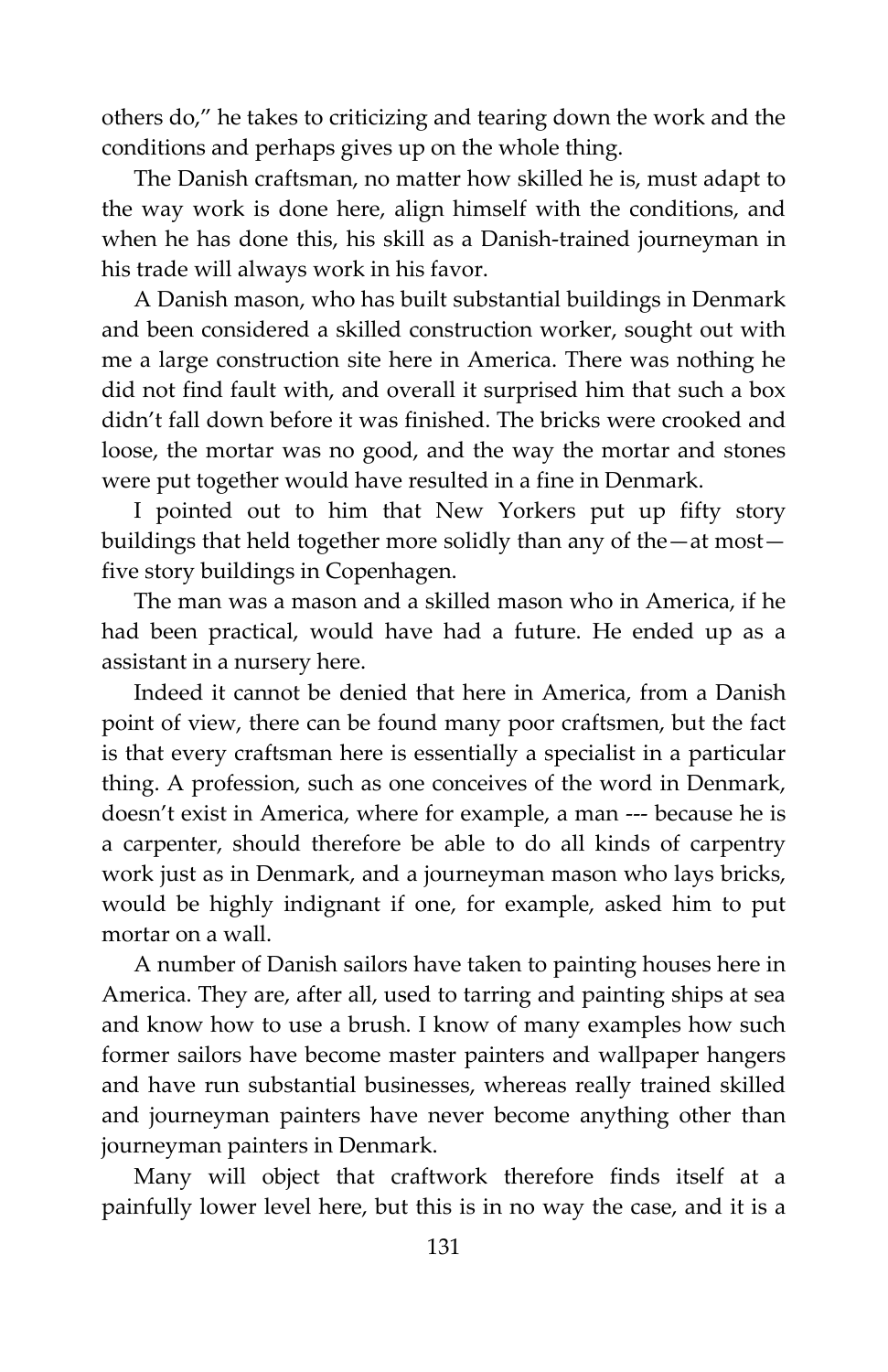others do," he takes to criticizing and tearing down the work and the conditions and perhaps gives up on the whole thing.

The Danish craftsman, no matter how skilled he is, must adapt to the way work is done here, align himself with the conditions, and when he has done this, his skill as a Danish-trained journeyman in his trade will always work in his favor.

A Danish mason, who has built substantial buildings in Denmark and been considered a skilled construction worker, sought out with me a large construction site here in America. There was nothing he did not find fault with, and overall it surprised him that such a box didn't fall down before it was finished. The bricks were crooked and loose, the mortar was no good, and the way the mortar and stones were put together would have resulted in a fine in Denmark.

I pointed out to him that New Yorkers put up fifty story buildings that held together more solidly than any of the—at most five story buildings in Copenhagen.

The man was a mason and a skilled mason who in America, if he had been practical, would have had a future. He ended up as a assistant in a nursery here.

Indeed it cannot be denied that here in America, from a Danish point of view, there can be found many poor craftsmen, but the fact is that every craftsman here is essentially a specialist in a particular thing. A profession, such as one conceives of the word in Denmark, doesn't exist in America, where for example, a man --- because he is a carpenter, should therefore be able to do all kinds of carpentry work just as in Denmark, and a journeyman mason who lays bricks, would be highly indignant if one, for example, asked him to put mortar on a wall.

A number of Danish sailors have taken to painting houses here in America. They are, after all, used to tarring and painting ships at sea and know how to use a brush. I know of many examples how such former sailors have become master painters and wallpaper hangers and have run substantial businesses, whereas really trained skilled and journeyman painters have never become anything other than journeyman painters in Denmark.

Many will object that craftwork therefore finds itself at a painfully lower level here, but this is in no way the case, and it is a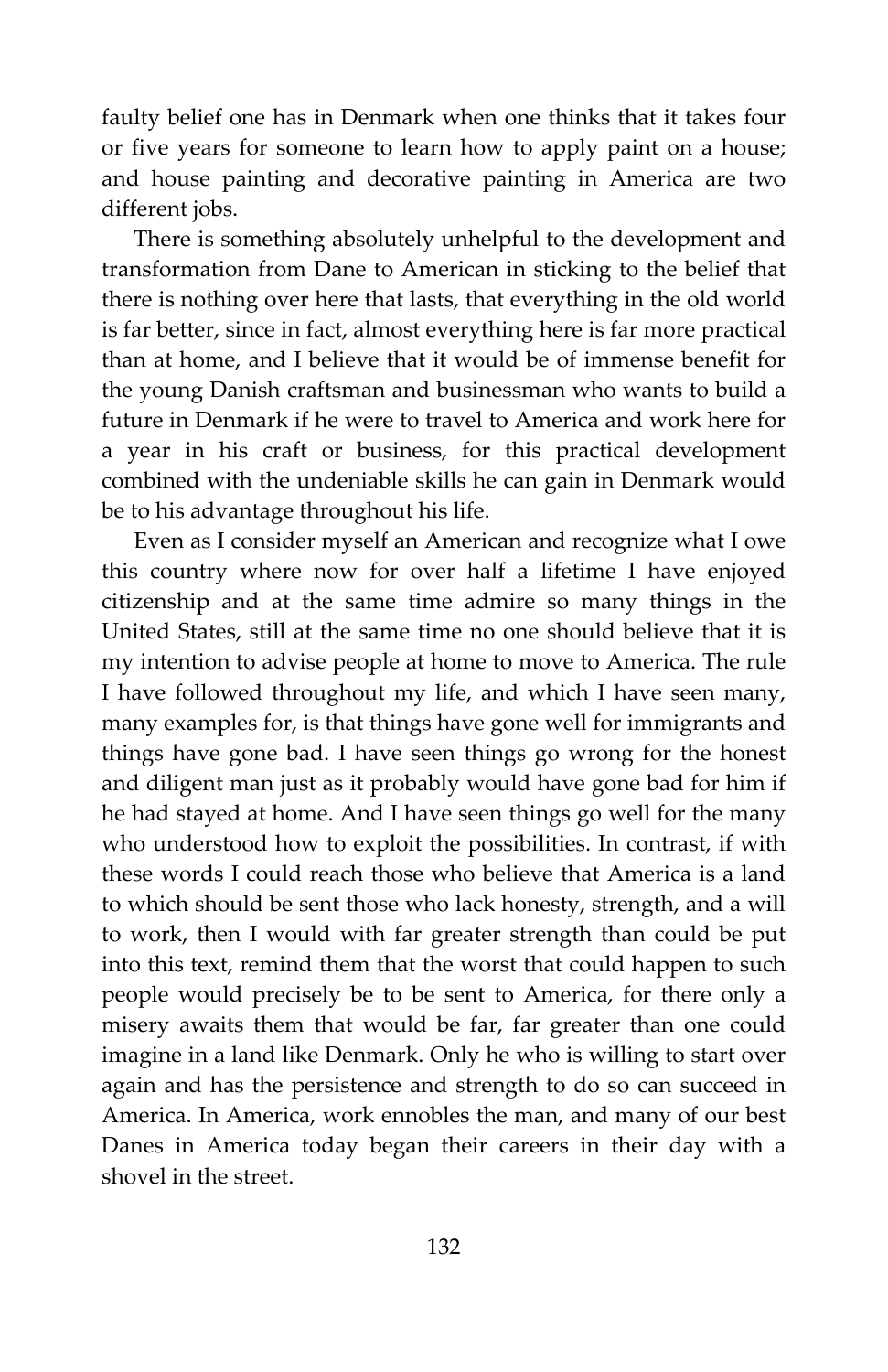faulty belief one has in Denmark when one thinks that it takes four or five years for someone to learn how to apply paint on a house; and house painting and decorative painting in America are two different jobs.

There is something absolutely unhelpful to the development and transformation from Dane to American in sticking to the belief that there is nothing over here that lasts, that everything in the old world is far better, since in fact, almost everything here is far more practical than at home, and I believe that it would be of immense benefit for the young Danish craftsman and businessman who wants to build a future in Denmark if he were to travel to America and work here for a year in his craft or business, for this practical development combined with the undeniable skills he can gain in Denmark would be to his advantage throughout his life.

Even as I consider myself an American and recognize what I owe this country where now for over half a lifetime I have enjoyed citizenship and at the same time admire so many things in the United States, still at the same time no one should believe that it is my intention to advise people at home to move to America. The rule I have followed throughout my life, and which I have seen many, many examples for, is that things have gone well for immigrants and things have gone bad. I have seen things go wrong for the honest and diligent man just as it probably would have gone bad for him if he had stayed at home. And I have seen things go well for the many who understood how to exploit the possibilities. In contrast, if with these words I could reach those who believe that America is a land to which should be sent those who lack honesty, strength, and a will to work, then I would with far greater strength than could be put into this text, remind them that the worst that could happen to such people would precisely be to be sent to America, for there only a misery awaits them that would be far, far greater than one could imagine in a land like Denmark. Only he who is willing to start over again and has the persistence and strength to do so can succeed in America. In America, work ennobles the man, and many of our best Danes in America today began their careers in their day with a shovel in the street.